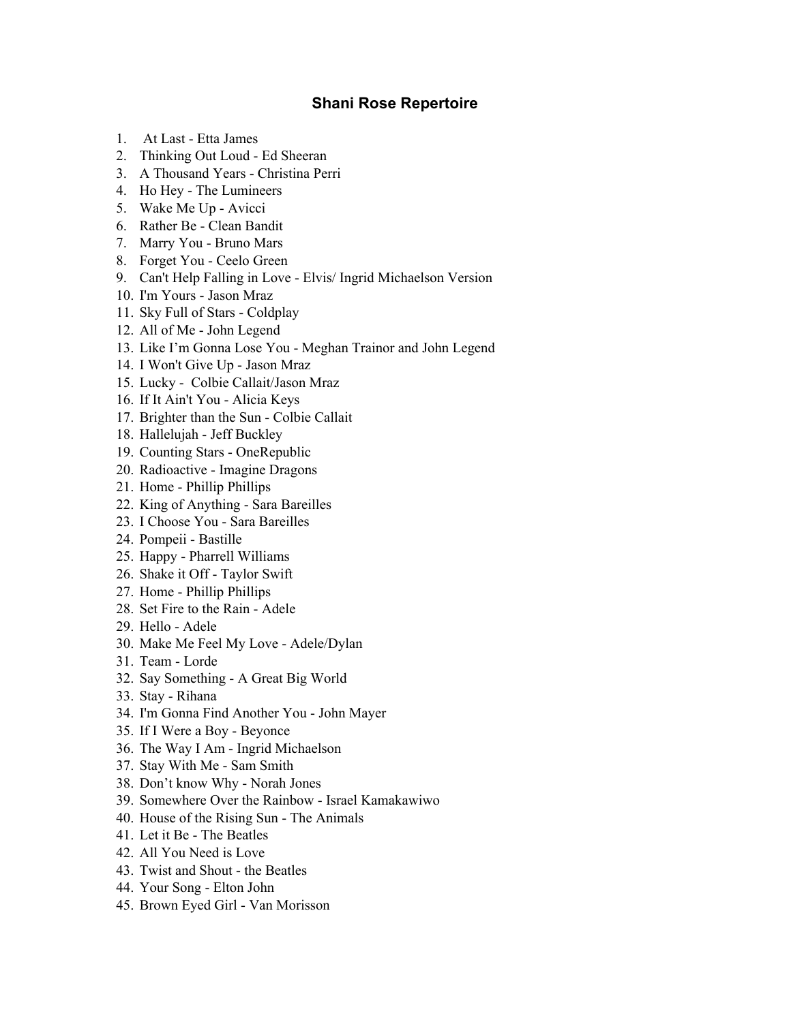## **Shani Rose Repertoire**

- 1. At Last Etta James
- 2. Thinking Out Loud Ed Sheeran
- 3. A Thousand Years Christina Perri
- 4. Ho Hey The Lumineers
- 5. Wake Me Up Avicci
- 6. Rather Be Clean Bandit
- 7. Marry You Bruno Mars
- 8. Forget You Ceelo Green
- 9. Can't Help Falling in Love Elvis/ Ingrid Michaelson Version
- 10. I'm Yours Jason Mraz
- 11. Sky Full of Stars Coldplay
- 12. All of Me John Legend
- 13. Like I'm Gonna Lose You Meghan Trainor and John Legend
- 14. I Won't Give Up Jason Mraz
- 15. Lucky Colbie Callait/Jason Mraz
- 16. If It Ain't You Alicia Keys
- 17. Brighter than the Sun Colbie Callait
- 18. Hallelujah Jeff Buckley
- 19. Counting Stars OneRepublic
- 20. Radioactive Imagine Dragons
- 21. Home Phillip Phillips
- 22. King of Anything Sara Bareilles
- 23. I Choose You Sara Bareilles
- 24. Pompeii Bastille
- 25. Happy Pharrell Williams
- 26. Shake it Off Taylor Swift
- 27. Home Phillip Phillips
- 28. Set Fire to the Rain Adele
- 29. Hello Adele
- 30. Make Me Feel My Love Adele/Dylan
- 31. Team Lorde
- 32. Say Something A Great Big World
- 33. Stay Rihana
- 34. I'm Gonna Find Another You John Mayer
- 35. If I Were a Boy Beyonce
- 36. The Way I Am Ingrid Michaelson
- 37. Stay With Me Sam Smith
- 38. Don't know Why Norah Jones
- 39. Somewhere Over the Rainbow Israel Kamakawiwo
- 40. House of the Rising Sun The Animals
- 41. Let it Be The Beatles
- 42. All You Need is Love
- 43. Twist and Shout the Beatles
- 44. Your Song Elton John
- 45. Brown Eyed Girl Van Morisson